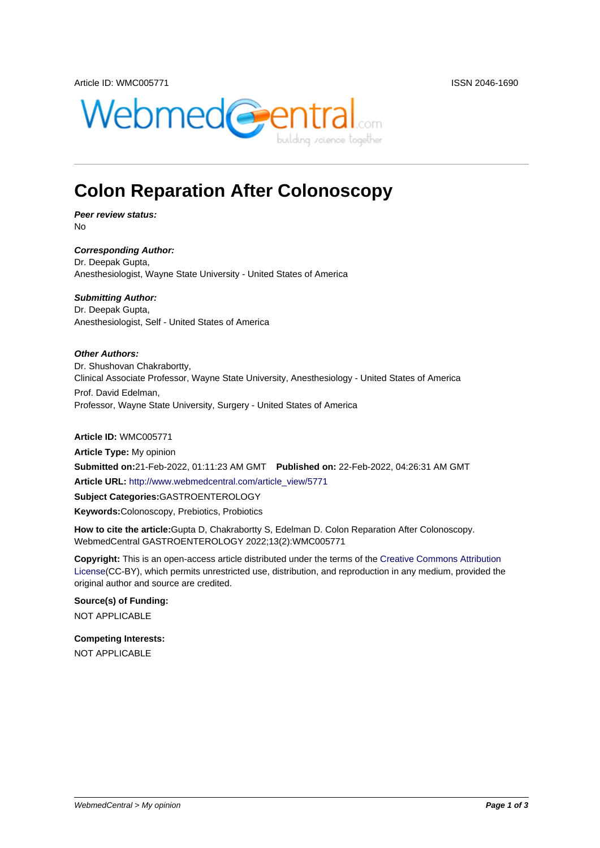

# **Colon Reparation After Colonoscopy**

**Peer review status:** No

**Corresponding Author:** Dr. Deepak Gupta, Anesthesiologist, Wayne State University - United States of America

**Submitting Author:** Dr. Deepak Gupta, Anesthesiologist, Self - United States of America

**Other Authors:** Dr. Shushovan Chakrabortty, Clinical Associate Professor, Wayne State University, Anesthesiology - United States of America Prof. David Edelman, Professor, Wayne State University, Surgery - United States of America

**Article ID:** WMC005771

**Article Type:** My opinion **Submitted on:**21-Feb-2022, 01:11:23 AM GMT **Published on:** 22-Feb-2022, 04:26:31 AM GMT **Article URL:** http://www.webmedcentral.com/article\_view/5771 **Subject Categories:**GASTROENTEROLOGY **Keywords:**Colonoscopy, Prebiotics, Probiotics

**How to cite the article:**[Gupta D, Chakrabortty S, Edelman D. C](http://www.webmedcentral.com/article_view/5771)olon Reparation After Colonoscopy. WebmedCentral GASTROENTEROLOGY 2022;13(2):WMC005771

**Copyright:** This is an open-access article distributed under the terms of the Creative Commons Attribution License(CC-BY), which permits unrestricted use, distribution, and reproduction in any medium, provided the original author and source are credited.

#### **Source(s) of Funding:**

[NOT AP](http://creativecommons.org/licenses/by/3.0/)PLICABLE

### **Competing Interests:**

NOT APPLICABLE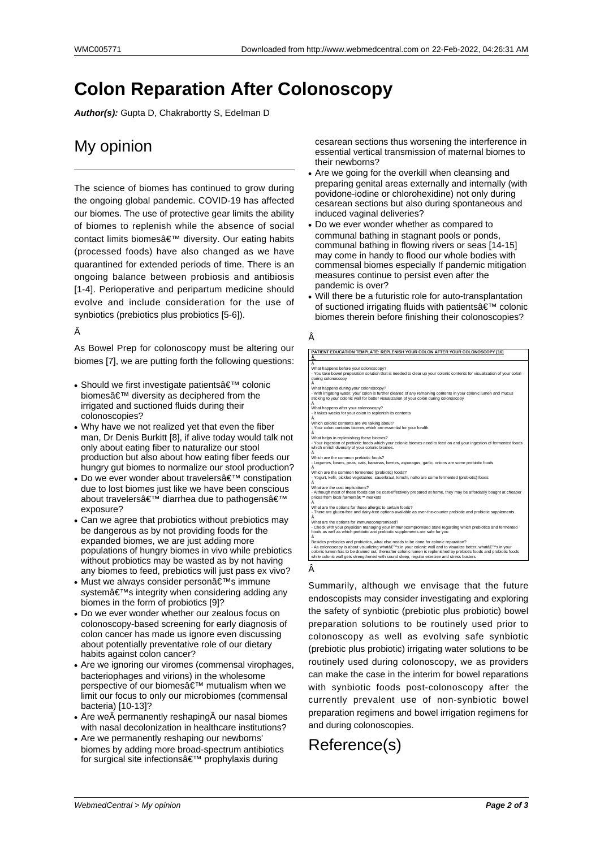# **Colon Reparation After Colonoscopy**

**Author(s):** Gupta D, Chakrabortty S, Edelman D

### My opinion

The science of biomes has continued to grow during the ongoing global pandemic. COVID-19 has affected our biomes. The use of protective gear limits the ability of biomes to replenish while the absence of social contact limits biomes' diversity. Our eating habits (processed foods) have also changed as we have quarantined for extended periods of time. There is an ongoing balance between probiosis and antibiosis [1-4]. Perioperative and peripartum medicine should evolve and include consideration for the use of synbiotics (prebiotics plus probiotics [5-6]).

### Â

As Bowel Prep for colonoscopy must be altering our biomes [7], we are putting forth the following questions:

- Should we first investigate patients $\hat{\mathbf{a}} \in \mathbb{M}^M$  colonic biomesâ€<sup>™</sup> diversity as deciphered from the irrigated and suctioned fluids during their colonoscopies?
- Why have we not realized yet that even the fiber man, Dr Denis Burkitt [8], if alive today would talk not only about eating fiber to naturalize our stool production but also about how eating fiber feeds our hungry gut biomes to normalize our stool production?
- Do we ever wonder about travelers $\hat{\mathbf{a}} \in \mathbb{T}^M$  constipation due to lost biomes just like we have been conscious about travelers' diarrhea due to pathogens' exposure?
- Can we agree that probiotics without prebiotics may be dangerous as by not providing foods for the expanded biomes, we are just adding more populations of hungry biomes in vivo while prebiotics without probiotics may be wasted as by not having any biomes to feed, prebiotics will just pass ex vivo?
- Must we always consider person's immune system's integrity when considering adding any biomes in the form of probiotics [9]?
- Do we ever wonder whether our zealous focus on colonoscopy-based screening for early diagnosis of colon cancer has made us ignore even discussing about potentially preventative role of our dietary habits against colon cancer?
- Are we ignoring our viromes (commensal virophages, bacteriophages and virions) in the wholesome perspective of our biomes' mutualism when we limit our focus to only our microbiomes (commensal bacteria) [10-13]?
- Are we $\hat{A}$  permanently reshaping $\hat{A}$  our nasal biomes with nasal decolonization in healthcare institutions?
- Are we permanently reshaping our newborns' biomes by adding more broad-spectrum antibiotics for surgical site infections $\hat{a} \in \mathbb{T}^M$  prophylaxis during

cesarean sections thus worsening the interference in essential vertical transmission of maternal biomes to their newborns?

- Are we going for the overkill when cleansing and preparing genital areas externally and internally (with povidone-iodine or chlorohexidine) not only during cesarean sections but also during spontaneous and induced vaginal deliveries?
- Do we ever wonder whether as compared to communal bathing in stagnant pools or ponds, communal bathing in flowing rivers or seas [14-15] may come in handy to flood our whole bodies with commensal biomes especially If pandemic mitigation measures continue to persist even after the pandemic is over?
- Will there be a futuristic role for auto-transplantation of suctioned irrigating fluids with patients $\hat{a} \in \mathbb{M}$  colonic biomes therein before finishing their colonoscopies?

#### Â

| PATIENT EDUCATION TEMPLATE: REPLENISH YOUR COLON AFTER YOUR COLONOSCOPY [16]                                                                                                              |  |
|-------------------------------------------------------------------------------------------------------------------------------------------------------------------------------------------|--|
| Â                                                                                                                                                                                         |  |
| Â                                                                                                                                                                                         |  |
| What happens before your colonoscopy?                                                                                                                                                     |  |
| - You take bowel preparation solution that is needed to clear up your colonic contents for visualization of your colon                                                                    |  |
| during colonoscopy                                                                                                                                                                        |  |
| Â                                                                                                                                                                                         |  |
| What happens during your colonoscopy?                                                                                                                                                     |  |
| - With irrigating water, your colon is further cleared of any remaining contents in your colonic lumen and mucus                                                                          |  |
| sticking to your colonic wall for better visualization of your colon during colonoscopy                                                                                                   |  |
| Â                                                                                                                                                                                         |  |
| What happens after your colonoscopy?                                                                                                                                                      |  |
| - It takes weeks for your colon to replenish its contents                                                                                                                                 |  |
| Â                                                                                                                                                                                         |  |
| Which colonic contents are we talking about?                                                                                                                                              |  |
| - Your colon contains biomes which are essential for your health<br>Â                                                                                                                     |  |
| What helps in replenishing these biomes?                                                                                                                                                  |  |
| - Your ingestion of prebiotic foods which your colonic biomes need to feed on and your ingestion of fermented foods                                                                       |  |
| which enrich diversity of your colonic biomes.                                                                                                                                            |  |
| Â                                                                                                                                                                                         |  |
| Which are the common prebiotic foods?                                                                                                                                                     |  |
| - Legumes, beans, peas, oats, bananas, berries, asparagus, garlic, onions are some prebiotic foods                                                                                        |  |
| Â                                                                                                                                                                                         |  |
| Which are the common fermented (probiotic) foods?                                                                                                                                         |  |
| - Yogurt, kefir, pickled vegetables, sauerkraut, kimchi, natto are some fermented (probiotic) foods                                                                                       |  |
| Â                                                                                                                                                                                         |  |
| What are the cost implications?                                                                                                                                                           |  |
| - Although most of these foods can be cost-effectively prepared at home, they may be affordably bought at cheaper                                                                         |  |
| prices from local farmers候 markets                                                                                                                                                        |  |
| Â                                                                                                                                                                                         |  |
| What are the options for those allergic to certain foods?                                                                                                                                 |  |
| - There are gluten-free and dairy-free options available as over-the-counter prebiotic and probiotic supplements<br>Â                                                                     |  |
|                                                                                                                                                                                           |  |
| What are the options for immunocompromised?                                                                                                                                               |  |
| - Check with your physician managing your immunocompromised state regarding which prebiotics and fermented<br>foods as well as which prebiotic and probiotic supplements are safe for you |  |
| Â                                                                                                                                                                                         |  |
| Besides prebiotics and probiotics, what else needs to be done for colonic reparation?                                                                                                     |  |
| - As colonoscopy is about visualizing what's in your colonic wall and to visualize better, what's in your                                                                                 |  |
| colonic lumen has to be drained out, thereafter colonic lumen is replenished by prebiotic foods and probiotic foods                                                                       |  |
| while colonic wall gets strengthened with sound sleep, regular exercise and stress busters                                                                                                |  |
|                                                                                                                                                                                           |  |

Summarily, although we envisage that the future endoscopists may consider investigating and exploring the safety of synbiotic (prebiotic plus probiotic) bowel preparation solutions to be routinely used prior to colonoscopy as well as evolving safe synbiotic (prebiotic plus probiotic) irrigating water solutions to be routinely used during colonoscopy, we as providers can make the case in the interim for bowel reparations with synbiotic foods post-colonoscopy after the currently prevalent use of non-synbiotic bowel preparation regimens and bowel irrigation regimens for and during colonoscopies.

## Reference(s)